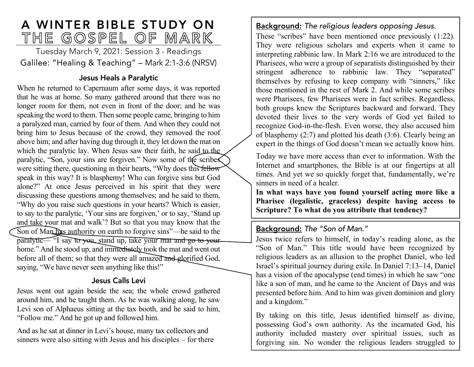# A WINTER BIBLE STUDY ON<br>THE GOSPEL OF MARK

Tuesday March 9, 2021: Session 3 - Readings Galilee: "Healing & Teaching" – Mark 2:1-3:6 (NRSV)

#### Jesus Heals a Paralytic

When he returned to Capernaum after some days, it was reported that he was at home. So many gathered around that there was no longer room for them, not even in front of the door; and he was speaking the word to them. Then some people came, bringing to him a paralyzed man, carried by four of them. And when they could not bring him to Jesus because of the crowd, they removed the roof above him; and after having dug through it, they let down the mat on which the paralytic lay. When Jesus saw their faith, he said to the paralytic, "Son, your sins are forgiven." Now some of the scribes were sitting there, questioning in their hearts, "Why does this fellow speak in this way? It is blasphemy! Who can forgive sins but God alone?" At once Jesus perceived in his spirit that they were discussing these questions among themselves; and he said to them, "Why do you raise such questions in your hearts? Which is easier, to say to the paralytic, 'Your sins are forgiven,' or to say, 'Stand up and take your mat and walk'? But so that you may know that the Son of Man has authority on earth to forgive sins"—he said to the paralytic— "I say to you, stand up, take your mat and go to your home." And he stood up, and immediately took the mat and went out before all of them; so that they were all amazed and glorified God, saying, "We have never seen anything like this!"

#### Jesus Calls Levi

Jesus went out again beside the sea; the whole crowd gathered around him, and he taught them. As he was walking along, he saw Levi son of Alphaeus sitting at the tax booth, and he said to him, "Follow me." And he got up and followed him.

And as he sat at dinner in Levi's house, many tax collectors and sinners were also sitting with Jesus and his disciples – for there

#### Background: *The religious leaders opposing Jesus.*

These "scribes" have been mentioned once previously (1:22). They were religious scholars and experts when it came to interpreting rabbinic law. In Mark 2:16 we are introduced to the Pharisees, who were a group of separatists distinguished by their stringent adherence to rabbinic law. They "separated" themselves by refusing to keep company with "sinners," like those mentioned in the rest of Mark 2. And while some scribes were Pharisees, few Pharisees were in fact scribes. Regardless, both groups knew the Scriptures backward and forward. They devoted their lives to the very words of God yet failed to recognize God-in-the-flesh. Even worse, they also accused him of blasphemy (2:7) and plotted his death (3:6). Clearly being an expert in the things of God doesn't mean we actually know him.

Today we have more access than ever to information. With the Internet and smartphones, the Bible is at our fingertips at all times. And yet we so quickly forget that, fundamentally, we're sinners in need of a healer.

**In what ways have you found yourself acting more like a Pharisee (legalistic, graceless) despite having access to Scripture? To what do you attribute that tendency?**

#### Background: *The "Son of Man."*

Jesus twice refers to himself, in today's reading alone, as the "Son of Man." This title would have been recognized by religious leaders as an allusion to the prophet Daniel, who led Israel's spiritual journey during exile. In Daniel 7:13–14, Daniel has a vision of the apocalypse (end times) in which he saw "one like a son of man, and he came to the Ancient of Days and was presented before him. And to him was given dominion and glory and a kingdom."

By taking on this title, Jesus identified himself as divine, possessing God's own authority. As the incarnated God, his authority included mastery over spiritual issues, such as forgiving sin. No wonder the religious leaders struggled to

accept who he was saying. They were not looking. They were not looking for  $G$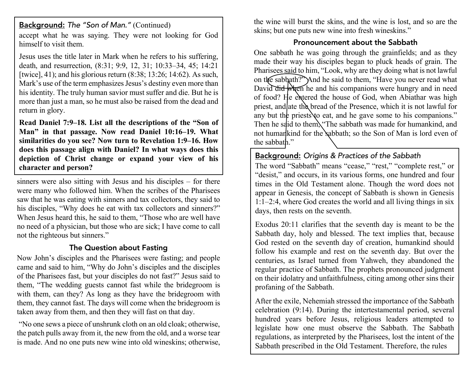Background: *The "Son of Man."* (Continued)

accept what he was saying. They were not looking for God himself to visit them.

Jesus uses the title later in Mark when he refers to his suffering, death, and resurrection, (8:31; 9:9, 12, 31; 10:33–34, 45; 14:21 [twice], 41); and his glorious return  $(8:38; 13:26; 14:62)$ . As such, Mark's use of the term emphasizes Jesus's destiny even more than his identity. The truly human savior must suffer and die. But he is more than just a man, so he must also be raised from the dead and return in glory.

**Read Daniel 7:9–18. List all the descriptions of the "Son of Man" in that passage. Now read Daniel 10:16–19. What similarities do you see? Now turn to Revelation 1:9–16. How does this passage align with Daniel? In what ways does this depiction of Christ change or expand your view of his character and person?**

sinners were also sitting with Jesus and his disciples – for there were many who followed him. When the scribes of the Pharisees saw that he was eating with sinners and tax collectors, they said to his disciples, "Why does he eat with tax collectors and sinners?" When Jesus heard this, he said to them, "Those who are well have no need of a physician, but those who are sick; I have come to call not the righteous but sinners."

#### The Question about Fasting

Now John's disciples and the Pharisees were fasting; and people came and said to him, "Why do John's disciples and the disciples of the Pharisees fast, but your disciples do not fast?" Jesus said to them, "The wedding guests cannot fast while the bridegroom is with them, can they? As long as they have the bridegroom with them, they cannot fast. The days will come when the bridegroom is taken away from them, and then they will fast on that day.

"No one sews a piece of unshrunk cloth on an old cloak; otherwise, the patch pulls away from it, the new from the old, and a worse tear is made. And no one puts new wine into old wineskins; otherwise, the wine will burst the skins, and the wine is lost, and so are the skins; but one puts new wine into fresh wineskins."

#### Pronouncement about the Sabbath

One sabbath he was going through the grainfields; and as they made their way his disciples began to pluck heads of grain. The Pharisees said to him, "Look, why are they doing what is not lawful on the sabbath?" And he said to them, "Have you never read what David did when he and his companions were hungry and in need of food? He entered the house of God, when Abiathar was high priest, and ate the bread of the Presence, which it is not lawful for any but the priests to eat, and he gave some to his companions." Then he said to them, "The sabbath was made for humankind, and not humankind for the sabbath; so the Son of Man is lord even of the sabbath."

#### Background: *Origins & Practices of the Sabbath*

The word "Sabbath" means "cease," "rest," "complete rest," or "desist," and occurs, in its various forms, one hundred and four times in the Old Testament alone. Though the word does not appear in Genesis, the concept of Sabbath is shown in Genesis 1:1–2:4, where God creates the world and all living things in six days, then rests on the seventh.

Exodus 20:11 clarifies that the seventh day is meant to be the Sabbath day, holy and blessed. The text implies that, because God rested on the seventh day of creation, humankind should follow his example and rest on the seventh day. But over the centuries, as Israel turned from Yahweh, they abandoned the regular practice of Sabbath. The prophets pronounced judgment on their idolatry and unfaithfulness, citing among other sins their profaning of the Sabbath.

After the exile, Nehemiah stressed the importance of the Sabbath celebration (9:14). During the intertestamental period, several hundred years before Jesus, religious leaders attempted to legislate how one must observe the Sabbath. The Sabbath regulations, as interpreted by the Pharisees, lost the intent of the Sabbath prescribed in the Old Testament. Therefore, the rules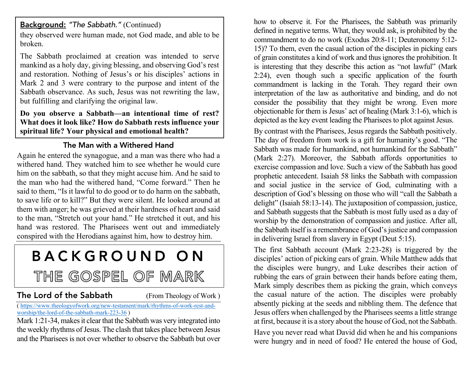Background: *"The Sabbath."* (Continued) they observed were human made, not God made, and able to be broken.

The Sabbath proclaimed at creation was intended to serve mankind as a holy day, giving blessing, and observing God's rest and restoration. Nothing of Jesus's or his disciples' actions in Mark 2 and 3 were contrary to the purpose and intent of the Sabbath observance. As such, Jesus was not rewriting the law, but fulfilling and clarifying the original law.

**Do you observe a Sabbath—an intentional time of rest? What does it look like? How do Sabbath rests influence your spiritual life? Your physical and emotional health?**

#### The Man with a Withered Hand

Again he entered the synagogue, and a man was there who had a withered hand. They watched him to see whether he would cure him on the sabbath, so that they might accuse him. And he said to the man who had the withered hand, "Come forward." Then he said to them, "Is it lawful to do good or to do harm on the sabbath, to save life or to kill?" But they were silent. He looked around at them with anger; he was grieved at their hardness of heart and said to the man, "Stretch out your hand." He stretched it out, and his hand was restored. The Pharisees went out and immediately conspired with the Herodians against him, how to destroy him.

## BACKGROUND ON

### THE GOSPEL OF MARK

#### The Lord of the Sabbath (From Theology of Work)

#### ( https://www.theologyofwork.org/new-testament/mark/rhythms-of-work-rest-andworship/the-lord-of-the-sabbath-mark-223-36 )

Mark 1:21-34, makes it clear that the Sabbath was very integrated into the weekly rhythms of Jesus. The clash that takes place between Jesus and the Pharisees is not over whether to observe the Sabbath but over how to observe it. For the Pharisees, the Sabbath was primarily defined in negative terms. What, they would ask, is prohibited by the commandment to do no work (Exodus 20:8-11; Deuteronomy 5:12- 15)? To them, even the casual action of the disciples in picking ears of grain constitutes a kind of work and thus ignores the prohibition. It is interesting that they describe this action as "not lawful" (Mark 2:24), even though such a specific application of the fourth commandment is lacking in the Torah. They regard their own interpretation of the law as authoritative and binding, and do not consider the possibility that they might be wrong. Even more objectionable for them is Jesus' act of healing (Mark 3:1-6), which is depicted as the key event leading the Pharisees to plot against Jesus.

By contrast with the Pharisees, Jesus regards the Sabbath positively. The day of freedom from work is a gift for humanity's good. "The Sabbath was made for humankind, not humankind for the Sabbath" (Mark 2:27). Moreover, the Sabbath affords opportunities to exercise compassion and love. Such a view of the Sabbath has good prophetic antecedent. Isaiah 58 links the Sabbath with compassion and social justice in the service of God, culminating with a description of God's blessing on those who will "call the Sabbath a delight" (Isaiah 58:13-14). The juxtaposition of compassion, justice, and Sabbath suggests that the Sabbath is most fully used as a day of worship by the demonstration of compassion and justice. After all, the Sabbath itself is a remembrance of God's justice and compassion in delivering Israel from slavery in Egypt (Deut 5:15).

The first Sabbath account (Mark 2:23-28) is triggered by the disciples' action of picking ears of grain. While Matthew adds that the disciples were hungry, and Luke describes their action of rubbing the ears of grain between their hands before eating them, Mark simply describes them as picking the grain, which conveys the casual nature of the action. The disciples were probably absently picking at the seeds and nibbling them. The defence that Jesus offers when challenged by the Pharisees seems a little strange at first, because it is a story about the house of God, not the Sabbath. Have you never read what David did when he and his companions were hungry and in need of food? He entered the house of God,